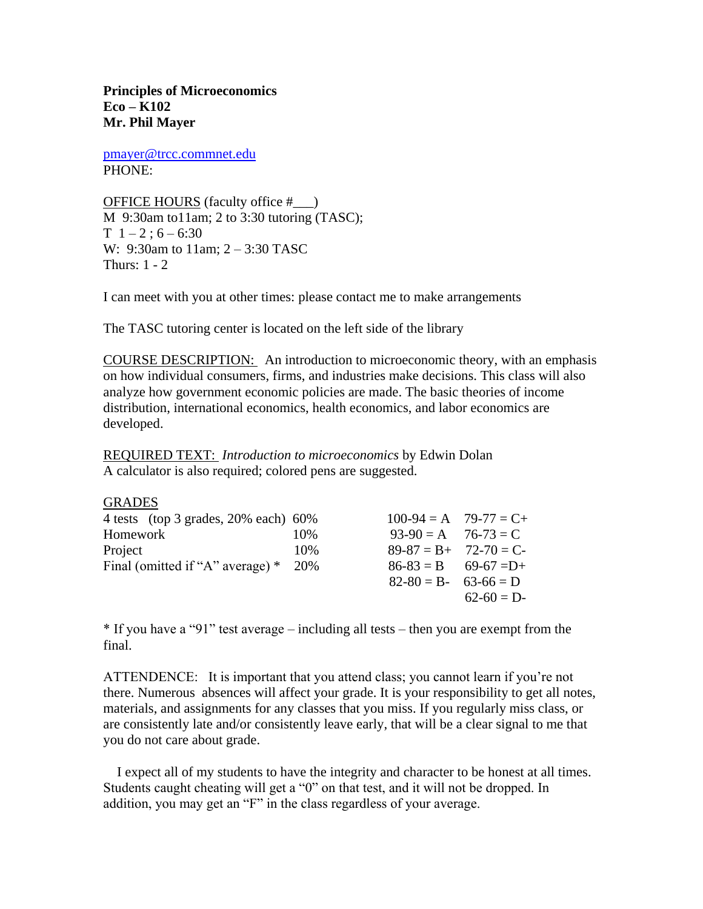**Principles of Microeconomics Eco – K102 Mr. Phil Mayer**

[pmayer@trcc.commnet.edu](mailto:pmayer@trcc.commnet.edu) PHONE:

OFFICE HOURS (faculty office #\_\_\_) M 9:30am to11am; 2 to 3:30 tutoring (TASC);  $T \; 1 - 2 : 6 - 6:30$ W: 9:30am to 11am; 2 – 3:30 TASC Thurs: 1 - 2

I can meet with you at other times: please contact me to make arrangements

The TASC tutoring center is located on the left side of the library

COURSE DESCRIPTION: An introduction to microeconomic theory, with an emphasis on how individual consumers, firms, and industries make decisions. This class will also analyze how government economic policies are made. The basic theories of income distribution, international economics, health economics, and labor economics are developed.

REQUIRED TEXT: *Introduction to microeconomics* by Edwin Dolan A calculator is also required; colored pens are suggested.

**GRADES** 

| 4 tests (top 3 grades, $20\%$ each) 60% |     | $100-94 = A$ $79-77 = C+$ |             |
|-----------------------------------------|-----|---------------------------|-------------|
| Homework                                | 10% | $93-90 = A$ $76-73 = C$   |             |
| Project                                 | 10% | $89-87 = B + 72-70 = C$   |             |
| Final (omitted if "A" average) $*$ 20%  |     | $86-83 = B$ 69-67 = D+    |             |
|                                         |     | $82-80 = B - 63-66 = D$   |             |
|                                         |     |                           | $62-60 = D$ |

\* If you have a "91" test average – including all tests – then you are exempt from the final.

ATTENDENCE: It is important that you attend class; you cannot learn if you're not there. Numerous absences will affect your grade. It is your responsibility to get all notes, materials, and assignments for any classes that you miss. If you regularly miss class, or are consistently late and/or consistently leave early, that will be a clear signal to me that you do not care about grade.

 I expect all of my students to have the integrity and character to be honest at all times. Students caught cheating will get a "0" on that test, and it will not be dropped. In addition, you may get an "F" in the class regardless of your average.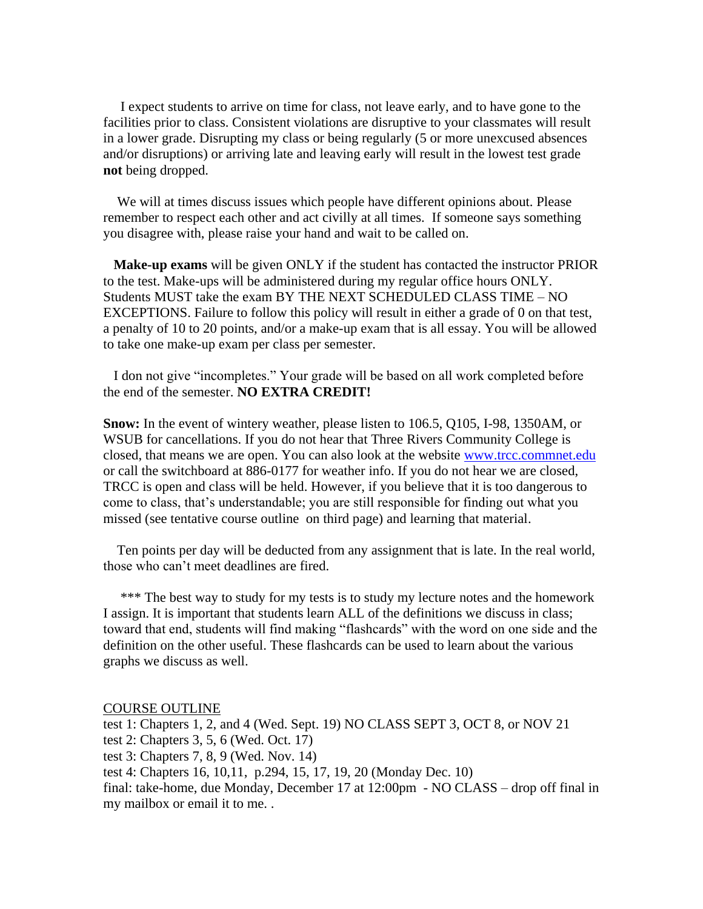I expect students to arrive on time for class, not leave early, and to have gone to the facilities prior to class. Consistent violations are disruptive to your classmates will result in a lower grade. Disrupting my class or being regularly (5 or more unexcused absences and/or disruptions) or arriving late and leaving early will result in the lowest test grade **not** being dropped.

 We will at times discuss issues which people have different opinions about. Please remember to respect each other and act civilly at all times. If someone says something you disagree with, please raise your hand and wait to be called on.

 **Make-up exams** will be given ONLY if the student has contacted the instructor PRIOR to the test. Make-ups will be administered during my regular office hours ONLY. Students MUST take the exam BY THE NEXT SCHEDULED CLASS TIME – NO EXCEPTIONS. Failure to follow this policy will result in either a grade of 0 on that test, a penalty of 10 to 20 points, and/or a make-up exam that is all essay. You will be allowed to take one make-up exam per class per semester.

 I don not give "incompletes." Your grade will be based on all work completed before the end of the semester. **NO EXTRA CREDIT!** 

**Snow:** In the event of wintery weather, please listen to 106.5, Q105, I-98, 1350AM, or WSUB for cancellations. If you do not hear that Three Rivers Community College is closed, that means we are open. You can also look at the website [www.trcc.commnet.edu](http://www.trcc.commnet.edu/) or call the switchboard at 886-0177 for weather info. If you do not hear we are closed, TRCC is open and class will be held. However, if you believe that it is too dangerous to come to class, that's understandable; you are still responsible for finding out what you missed (see tentative course outline on third page) and learning that material.

 Ten points per day will be deducted from any assignment that is late. In the real world, those who can't meet deadlines are fired.

 \*\*\* The best way to study for my tests is to study my lecture notes and the homework I assign. It is important that students learn ALL of the definitions we discuss in class; toward that end, students will find making "flashcards" with the word on one side and the definition on the other useful. These flashcards can be used to learn about the various graphs we discuss as well.

COURSE OUTLINE

test 1: Chapters 1, 2, and 4 (Wed. Sept. 19) NO CLASS SEPT 3, OCT 8, or NOV 21 test 2: Chapters 3, 5, 6 (Wed. Oct. 17) test 3: Chapters 7, 8, 9 (Wed. Nov. 14) test 4: Chapters 16, 10,11, p.294, 15, 17, 19, 20 (Monday Dec. 10) final: take-home, due Monday, December 17 at 12:00pm - NO CLASS – drop off final in my mailbox or email it to me. .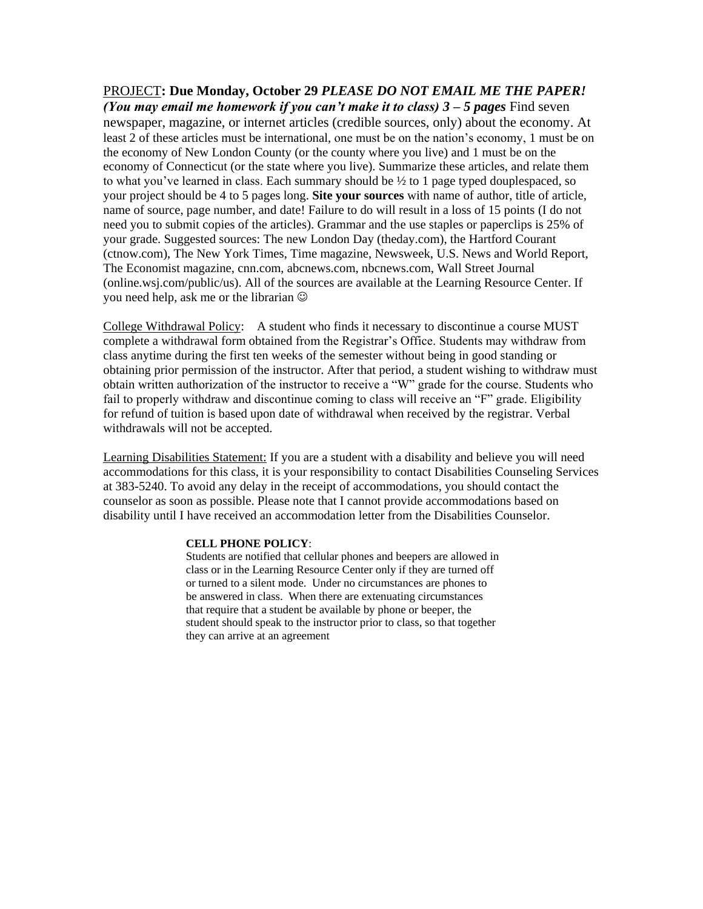## PROJECT**: Due Monday, October 29** *PLEASE DO NOT EMAIL ME THE PAPER! (You may email me homework if you can't make it to class) 3 – 5 pages* Find seven newspaper, magazine, or internet articles (credible sources, only) about the economy. At least 2 of these articles must be international, one must be on the nation's economy, 1 must be on the economy of New London County (or the county where you live) and 1 must be on the economy of Connecticut (or the state where you live). Summarize these articles, and relate them to what you've learned in class. Each summary should be ½ to 1 page typed douplespaced, so your project should be 4 to 5 pages long. **Site your sources** with name of author, title of article, name of source, page number, and date! Failure to do will result in a loss of 15 points (I do not need you to submit copies of the articles). Grammar and the use staples or paperclips is 25% of your grade. Suggested sources: The new London Day (theday.com), the Hartford Courant (ctnow.com), The New York Times, Time magazine, Newsweek, U.S. News and World Report, The Economist magazine, cnn.com, abcnews.com, nbcnews.com, Wall Street Journal

(online.wsj.com/public/us). All of the sources are available at the Learning Resource Center. If you need help, ask me or the librarian

College Withdrawal Policy: A student who finds it necessary to discontinue a course MUST complete a withdrawal form obtained from the Registrar's Office. Students may withdraw from class anytime during the first ten weeks of the semester without being in good standing or obtaining prior permission of the instructor. After that period, a student wishing to withdraw must obtain written authorization of the instructor to receive a "W" grade for the course. Students who fail to properly withdraw and discontinue coming to class will receive an "F" grade. Eligibility for refund of tuition is based upon date of withdrawal when received by the registrar. Verbal withdrawals will not be accepted.

Learning Disabilities Statement: If you are a student with a disability and believe you will need accommodations for this class, it is your responsibility to contact Disabilities Counseling Services at 383-5240. To avoid any delay in the receipt of accommodations, you should contact the counselor as soon as possible. Please note that I cannot provide accommodations based on disability until I have received an accommodation letter from the Disabilities Counselor.

## **CELL PHONE POLICY**:

Students are notified that cellular phones and beepers are allowed in class or in the Learning Resource Center only if they are turned off or turned to a silent mode. Under no circumstances are phones to be answered in class. When there are extenuating circumstances that require that a student be available by phone or beeper, the student should speak to the instructor prior to class, so that together they can arrive at an agreement